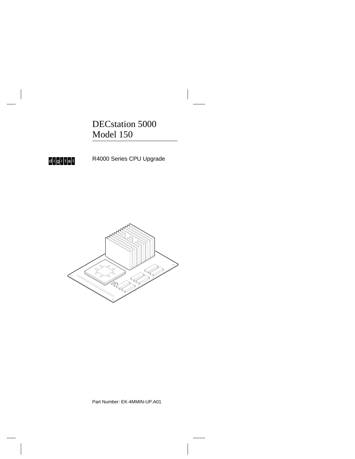DECstation 5000 Model 150

d<mark>igital</mark>

R4000 Series CPU Upgrade



Part Number: EK-4MMIN-UP.A01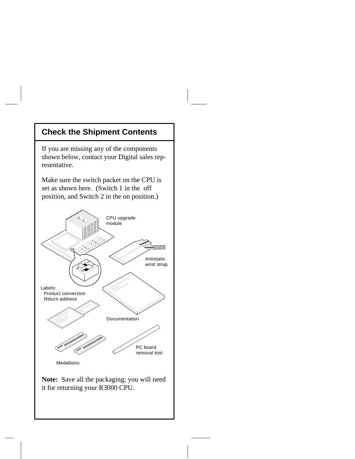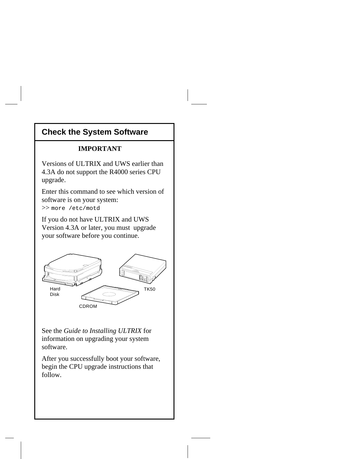# **Check the System Software**

#### **IMPORTANT**

Versions of ULTRIX and UWS earlier than 4.3A do not support the R4000 series CPU upgrade.

Enter this command to see which version of software is on your system: >> more /etc/motd

If you do not have ULTRIX and UWS Version 4.3A or later, you must upgrade your software before you continue.



See the *Guide to Installing ULTRIX* for information on upgrading your system software.

After you successfully boot your software, begin the CPU upgrade instructions that follow.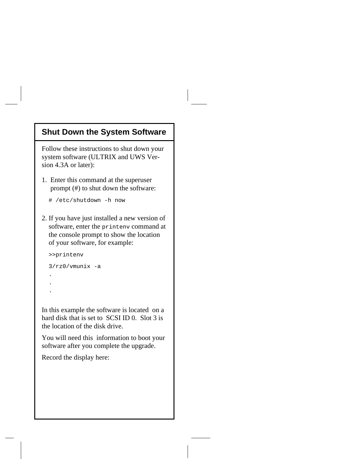### **Shut Down the System Software**

Follow these instructions to shut down your system software (ULTRIX and UWS Version 4.3A or later):

1. Enter this command at the superuser prompt (#) to shut down the software:

# /etc/shutdown -h now

2. If you have just installed a new version of software, enter the printenv command at the console prompt to show the location of your software, for example:

```
 >>printenv
```

```
3/rz0/vmunix -a
```
- . .
	-
	-

.

In this example the software is located on a hard disk that is set to SCSI ID 0. Slot 3 is the location of the disk drive.

You will need this information to boot your software after you complete the upgrade.

Record the display here: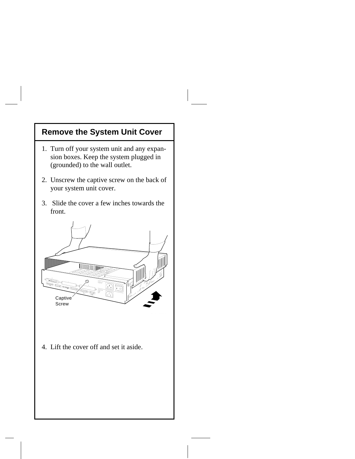# **Remove the System Unit Cover**

- 1. Turn off your system unit and any expan sion boxes. Keep the system plugged in (grounded) to the wall outlet.
- 2. Unscrew the captive screw on the back of your system unit cover.
- 3. Slide the cover a few inches towards the front.



4. Lift the cover off and set it aside.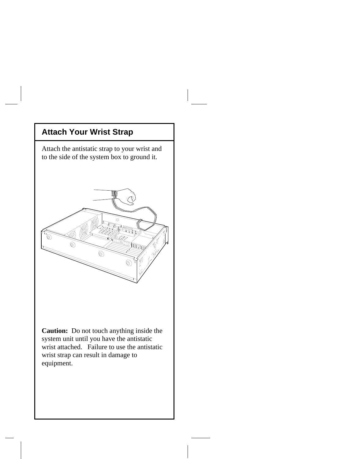

**Caution:** Do not touch anything inside the system unit until you have the antistatic wrist attached. Failure to use the antistatic wrist strap can result in damage to equipment.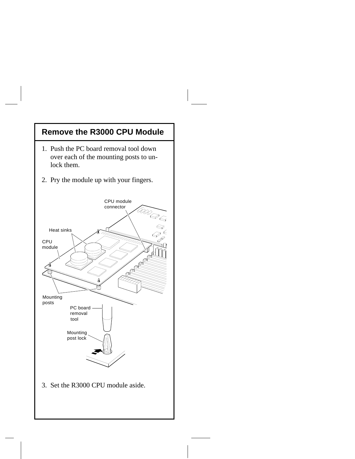# **Remove the R3000 CPU Module**

- 1. Push the PC board removal tool down over each of the mounting posts to un lock them.
- 2. Pry the module up with your fingers.

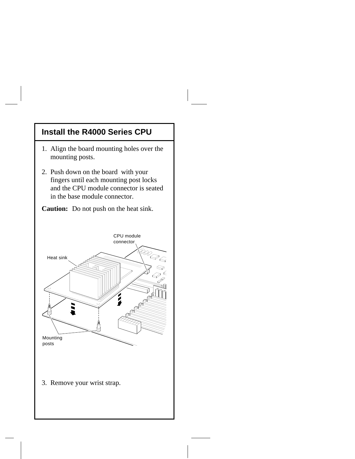#### **Install the R4000 Series CPU**

- 1. Align the board mounting holes over the mounting posts.
- 2. Push down on the board with your fingers until each mounting post locks and the CPU module connector is seated in the base module connector.

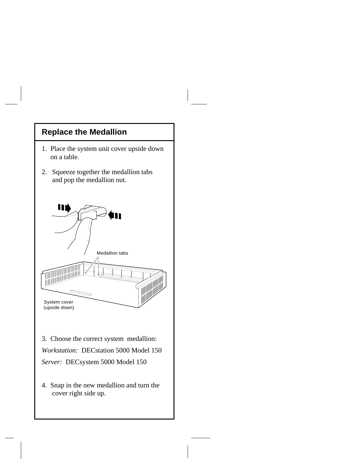## **Replace the Medallion**

- 1. Place the system unit cover upside down on a table.
- 2. Squeeze together the medallion tabs and pop the medallion out.



3. Choose the correct system medallion: *Workstation:* DECstation 5000 Model 150 *Server:* DECsystem 5000 Model 150

4. Snap in the new medallion and turn the cover right side up.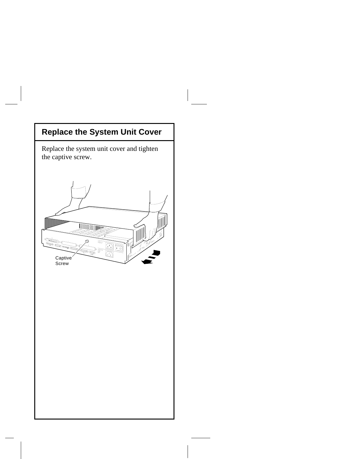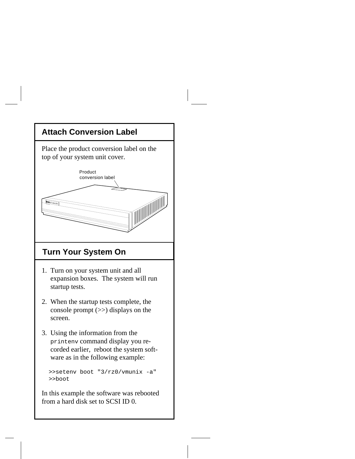# **Attach Conversion Label**  Place the product conversion label on the top of your system unit cover. Product conversion label **in DEC** station 5000  **Turn Your System On** 1. Turn on your system unit and all expansion boxes. The system will run startup tests. 2. When the startup tests complete, the console prompt (>>) displays on the screen. 3. Using the information from the printenv command display you re corded earlier, reboot the system soft ware as in the following example: >>setenv boot "3/rz0/vmunix -a" >>boot

In this example the software was rebooted from a hard disk set to SCSI ID 0.